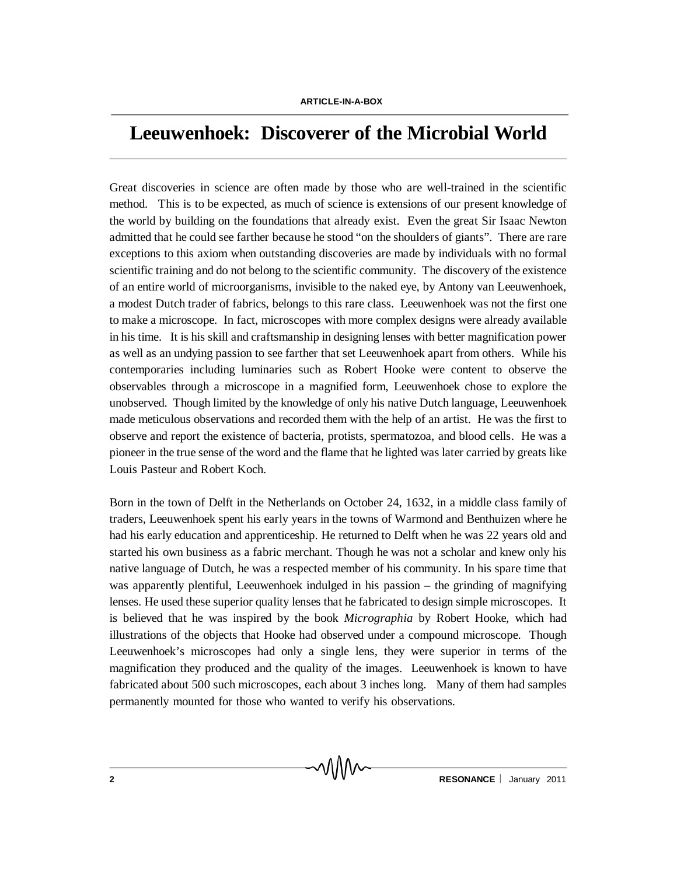## **Leeuwenhoek: Discoverer of the Microbial World**

Great discoveries in science are often made by those who are well-trained in the scientific method. This is to be expected, as much of science is extensions of our present knowledge of the world by building on the foundations that already exist. Even the great Sir Isaac Newton admitted that he could see farther because he stood "on the shoulders of giants". There are rare exceptions to this axiom when outstanding discoveries are made by individuals with no formal scientific training and do not belong to the scientific community. The discovery of the existence of an entire world of microorganisms, invisible to the naked eye, by Antony van Leeuwenhoek, a modest Dutch trader of fabrics, belongs to this rare class. Leeuwenhoek was not the first one to make a microscope. In fact, microscopes with more complex designs were already available in his time. It is his skill and craftsmanship in designing lenses with better magnification power as well as an undying passion to see farther that set Leeuwenhoek apart from others. While his contemporaries including luminaries such as Robert Hooke were content to observe the observables through a microscope in a magnified form, Leeuwenhoek chose to explore the unobserved. Though limited by the knowledge of only his native Dutch language, Leeuwenhoek made meticulous observations and recorded them with the help of an artist. He was the first to observe and report the existence of bacteria, protists, spermatozoa, and blood cells. He was a pioneer in the true sense of the word and the flame that he lighted was later carried by greats like Louis Pasteur and Robert Koch.

Born in the town of Delft in the Netherlands on October 24, 1632, in a middle class family of traders, Leeuwenhoek spent his early years in the towns of Warmond and Benthuizen where he had his early education and apprenticeship. He returned to Delft when he was 22 years old and started his own business as a fabric merchant. Though he was not a scholar and knew only his native language of Dutch, he was a respected member of his community. In his spare time that was apparently plentiful, Leeuwenhoek indulged in his passion – the grinding of magnifying lenses. He used these superior quality lenses that he fabricated to design simple microscopes. It is believed that he was inspired by the book *Micrographia* by Robert Hooke, which had illustrations of the objects that Hooke had observed under a compound microscope. Though Leeuwenhoek's microscopes had only a single lens, they were superior in terms of the magnification they produced and the quality of the images. Leeuwenhoek is known to have fabricated about 500 such microscopes, each about 3 inches long. Many of them had samples permanently mounted for those who wanted to verify his observations.